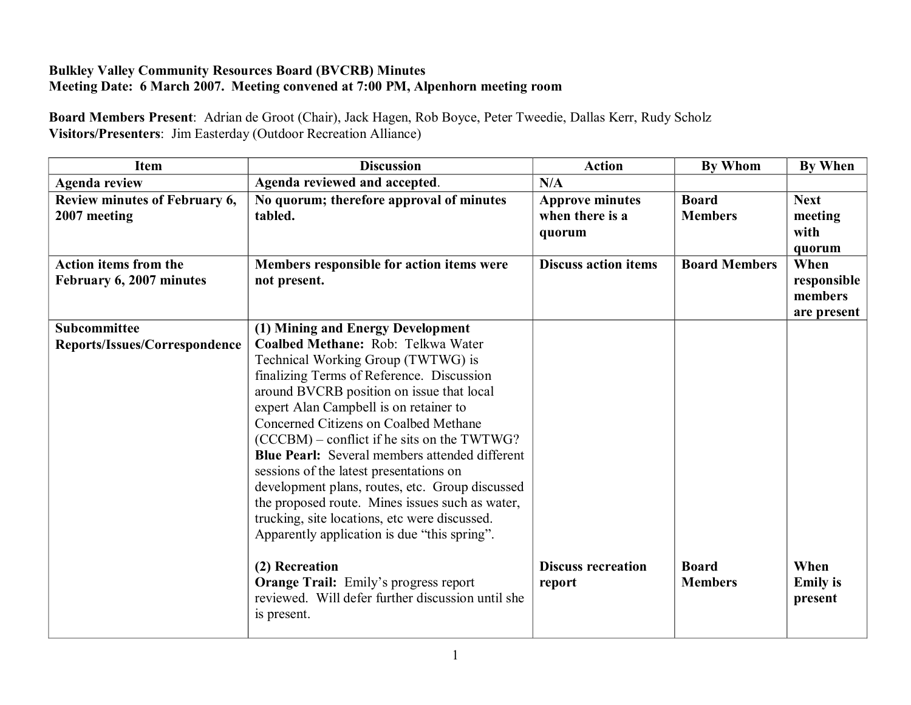## **Bulkley Valley Community Resources Board (BVCRB) Minutes Meeting Date: 6 March 2007. Meeting convened at 7:00 PM, Alpenhorn meeting room**

**Board Members Present**: Adrian de Groot (Chair), Jack Hagen, Rob Boyce, Peter Tweedie, Dallas Kerr, Rudy Scholz **Visitors/Presenters**: Jim Easterday (Outdoor Recreation Alliance)

| Item                                                     | <b>Discussion</b>                                                                                                                                                                                                                                                                                                                                                                                                                                                                                                                                                                                                                 | <b>Action</b>                                       | By Whom                        | <b>By When</b>                                |
|----------------------------------------------------------|-----------------------------------------------------------------------------------------------------------------------------------------------------------------------------------------------------------------------------------------------------------------------------------------------------------------------------------------------------------------------------------------------------------------------------------------------------------------------------------------------------------------------------------------------------------------------------------------------------------------------------------|-----------------------------------------------------|--------------------------------|-----------------------------------------------|
| <b>Agenda review</b>                                     | Agenda reviewed and accepted.                                                                                                                                                                                                                                                                                                                                                                                                                                                                                                                                                                                                     | N/A                                                 |                                |                                               |
| Review minutes of February 6,<br>2007 meeting            | No quorum; therefore approval of minutes<br>tabled.                                                                                                                                                                                                                                                                                                                                                                                                                                                                                                                                                                               | <b>Approve minutes</b><br>when there is a<br>quorum | <b>Board</b><br><b>Members</b> | <b>Next</b><br>meeting<br>with<br>quorum      |
| <b>Action items from the</b><br>February 6, 2007 minutes | Members responsible for action items were<br>not present.                                                                                                                                                                                                                                                                                                                                                                                                                                                                                                                                                                         | <b>Discuss action items</b>                         | <b>Board Members</b>           | When<br>responsible<br>members<br>are present |
| Subcommittee                                             | (1) Mining and Energy Development                                                                                                                                                                                                                                                                                                                                                                                                                                                                                                                                                                                                 |                                                     |                                |                                               |
| Reports/Issues/Correspondence                            | Coalbed Methane: Rob: Telkwa Water<br>Technical Working Group (TWTWG) is<br>finalizing Terms of Reference. Discussion<br>around BVCRB position on issue that local<br>expert Alan Campbell is on retainer to<br>Concerned Citizens on Coalbed Methane<br>(CCCBM) – conflict if he sits on the TWTWG?<br><b>Blue Pearl:</b> Several members attended different<br>sessions of the latest presentations on<br>development plans, routes, etc. Group discussed<br>the proposed route. Mines issues such as water,<br>trucking, site locations, etc were discussed.<br>Apparently application is due "this spring".<br>(2) Recreation | <b>Discuss recreation</b>                           | <b>Board</b>                   | When                                          |
|                                                          | <b>Orange Trail:</b> Emily's progress report<br>reviewed. Will defer further discussion until she<br>is present.                                                                                                                                                                                                                                                                                                                                                                                                                                                                                                                  | report                                              | <b>Members</b>                 | <b>Emily</b> is<br>present                    |